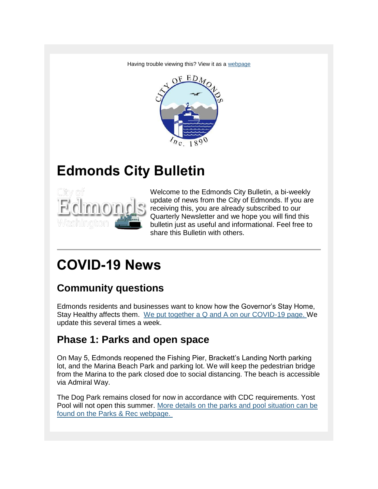Having trouble viewing this? View it as a [webpage](https://content.govdelivery.com/accounts/WAEDMONDS/bulletins/28aa2c4)



## **Edmonds City Bulletin**



Welcome to the Edmonds City Bulletin, a bi-weekly update of news from the City of Edmonds. If you are receiving this, you are already subscribed to our Quarterly Newsletter and we hope you will find this bulletin just as useful and informational. Feel free to share this Bulletin with others.

## **COVID-19 News**

### **Community questions**

Edmonds residents and businesses want to know how the Governor's Stay Home, Stay Healthy affects them. [We put together a Q and A on our COVID-19 page. W](http://www.edmondswa.gov/coronavirus.html)e update this several times a week.

### **Phase 1: Parks and open space**

On May 5, Edmonds reopened the Fishing Pier, Brackett's Landing North parking lot, and the Marina Beach Park and parking lot. We will keep the pedestrian bridge from the Marina to the park closed doe to social distancing. The beach is accessible via Admiral Way.

The Dog Park remains closed for now in accordance with CDC requirements. Yost Pool will not open this summer. [More details on the parks and pool situation can be](http://www.edmondswa.gov/parks-recreation-departments/about-us.html)  [found on the Parks & Rec webpage.](http://www.edmondswa.gov/parks-recreation-departments/about-us.html)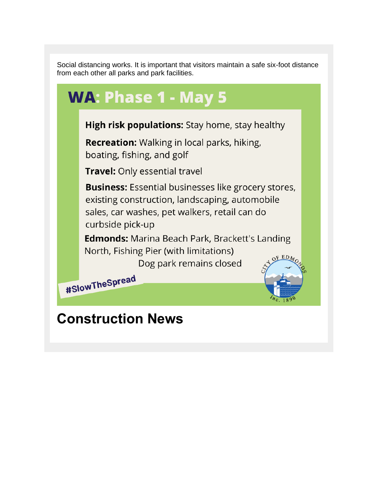Social distancing works. It is important that visitors maintain a safe six-foot distance from each other all parks and park facilities.



### **Construction News**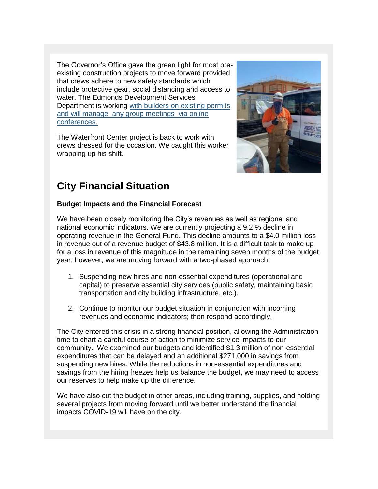The Governor's Office gave the green light for most preexisting construction projects to move forward provided that crews adhere to new safety standards which include protective gear, social distancing and access to water. The Edmonds Development Services Department is working [with builders on existing permits](http://www.edmondswa.gov/development-services-department.html)  and will manage [any group meetings](http://www.edmondswa.gov/development-services-department.html) via online [conferences.](http://www.edmondswa.gov/development-services-department.html)

The Waterfront Center project is back to work with crews dressed for the occasion. We caught this worker wrapping up his shift.



### **City Financial Situation**

#### **Budget Impacts and the Financial Forecast**

We have been closely monitoring the City's revenues as well as regional and national economic indicators. We are currently projecting a 9.2 % decline in operating revenue in the General Fund. This decline amounts to a \$4.0 million loss in revenue out of a revenue budget of \$43.8 million. It is a difficult task to make up for a loss in revenue of this magnitude in the remaining seven months of the budget year; however, we are moving forward with a two-phased approach:

- 1. Suspending new hires and non-essential expenditures (operational and capital) to preserve essential city services (public safety, maintaining basic transportation and city building infrastructure, etc.).
- 2. Continue to monitor our budget situation in conjunction with incoming revenues and economic indicators; then respond accordingly.

The City entered this crisis in a strong financial position, allowing the Administration time to chart a careful course of action to minimize service impacts to our community. We examined our budgets and identified \$1.3 million of non-essential expenditures that can be delayed and an additional \$271,000 in savings from suspending new hires. While the reductions in non-essential expenditures and savings from the hiring freezes help us balance the budget, we may need to access our reserves to help make up the difference.

We have also cut the budget in other areas, including training, supplies, and holding several projects from moving forward until we better understand the financial impacts COVID-19 will have on the city.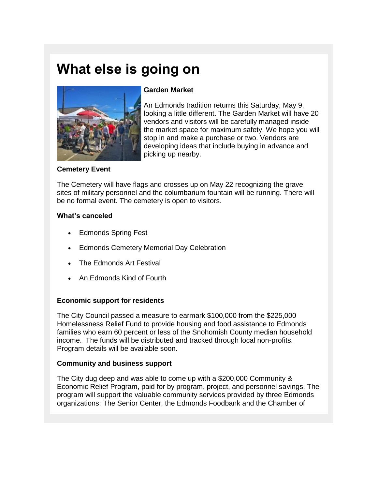## **What else is going on**



#### **Garden Market**

An Edmonds tradition returns this Saturday, May 9, looking a little different. The Garden Market will have 20 vendors and visitors will be carefully managed inside the market space for maximum safety. We hope you will stop in and make a purchase or two. Vendors are developing ideas that include buying in advance and picking up nearby.

#### **Cemetery Event**

The Cemetery will have flags and crosses up on May 22 recognizing the grave sites of military personnel and the columbarium fountain will be running. There will be no formal event. The cemetery is open to visitors.

#### **What's canceled**

- Edmonds Spring Fest
- Edmonds Cemetery Memorial Day Celebration
- The Edmonds Art Festival
- An Edmonds Kind of Fourth

#### **Economic support for residents**

The City Council passed a measure to earmark \$100,000 from the \$225,000 Homelessness Relief Fund to provide housing and food assistance to Edmonds families who earn 60 percent or less of the Snohomish County median household income. The funds will be distributed and tracked through local non-profits. Program details will be available soon.

#### **Community and business support**

The City dug deep and was able to come up with a \$200,000 Community & Economic Relief Program, paid for by program, project, and personnel savings. The program will support the valuable community services provided by three Edmonds organizations: The Senior Center, the Edmonds Foodbank and the Chamber of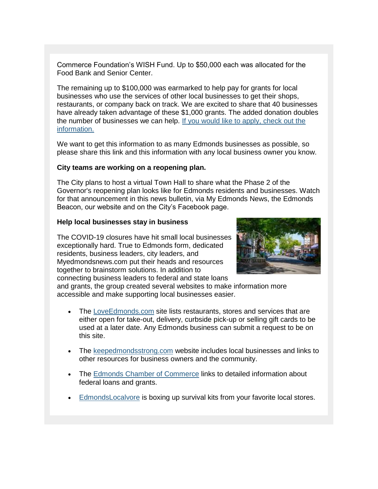Commerce Foundation's WISH Fund. Up to \$50,000 each was allocated for the Food Bank and Senior Center.

The remaining up to \$100,000 was earmarked to help pay for grants for local businesses who use the services of other local businesses to get their shops, restaurants, or company back on track. We are excited to share that 40 businesses have already taken advantage of these \$1,000 grants. The added donation doubles the number of businesses we can help. [If you would like to apply, check out the](http://edmondschamberfoundation.org/wish-fund/)  [information.](http://edmondschamberfoundation.org/wish-fund/)

We want to get this information to as many Edmonds businesses as possible, so please share this link and this information with any local business owner you know.

#### **City teams are working on a reopening plan.**

The City plans to host a virtual Town Hall to share what the Phase 2 of the Governor's reopening plan looks like for Edmonds residents and businesses. Watch for that announcement in this news bulletin, via My Edmonds News, the Edmonds Beacon, our website and on the City's Facebook page.

#### **Help local businesses stay in business**

The COVID-19 closures have hit small local businesses exceptionally hard. True to Edmonds form, dedicated residents, business leaders, city leaders, and Myedmondsnews.com put their heads and resources together to brainstorm solutions. In addition to connecting business leaders to federal and state loans



and grants, the group created several websites to make information more accessible and make supporting local businesses easier.

- The [LoveEdmonds.com](http://www.loveedmonds.com/) site lists restaurants, stores and services that are either open for take-out, delivery, curbside pick-up or selling gift cards to be used at a later date. Any Edmonds business can submit a request to be on this site.
- The [keepedmondsstrong.com](http://www.keepedmondsstrong.com/) website includes local businesses and links to other resources for business owners and the community.
- The [Edmonds Chamber of Commerce](https://edmondschamber.com/covid-19-resources/) links to detailed information about federal loans and grants.
- [EdmondsLocalvore](https://www.edmondslocalvore.com/) is boxing up survival kits from your favorite local stores.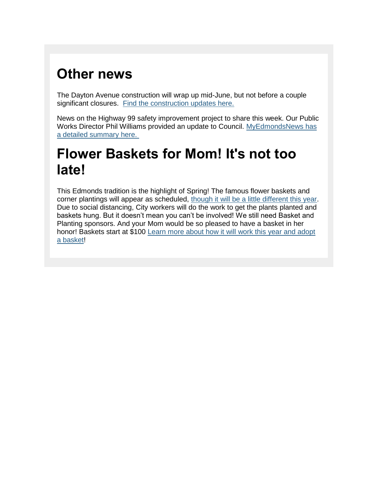# **Other news**

The Dayton Avenue construction will wrap up mid-June, but not before a couple significant closures. [Find the construction updates here.](http://www.edmondswa.gov/dayton-street-utility-improvements.html)

News on the Highway 99 safety improvement project to share this week. Our Public Works Director Phil Williams provided an update to Council. [MyEdmondsNews has](https://myedmondsnews.com/2020/05/city-council-hears-latest-on-edmonds-highway-99-revitalization-plans/)  [a detailed summary here.](https://myedmondsnews.com/2020/05/city-council-hears-latest-on-edmonds-highway-99-revitalization-plans/) 

## **Flower Baskets for Mom! It's not too late!**

This Edmonds tradition is the highlight of Spring! The famous flower baskets and corner plantings will appear as scheduled, [though it will be a little different this year.](http://www.edmondswa.gov/images/COE/Press_Release/PDF/2020/Flower_Program_Press_Release_Final.pdf) Due to social distancing, City workers will do the work to get the plants planted and baskets hung. But it doesn't mean you can't be involved! We still need Basket and Planting sponsors. And your Mom would be so pleased to have a basket in her honor! Baskets start at \$100 [Learn more about how it will work this year and adopt](http://www.edmondswa.gov/parks-recreation-departments/flower-program.html)  [a basket!](http://www.edmondswa.gov/parks-recreation-departments/flower-program.html)